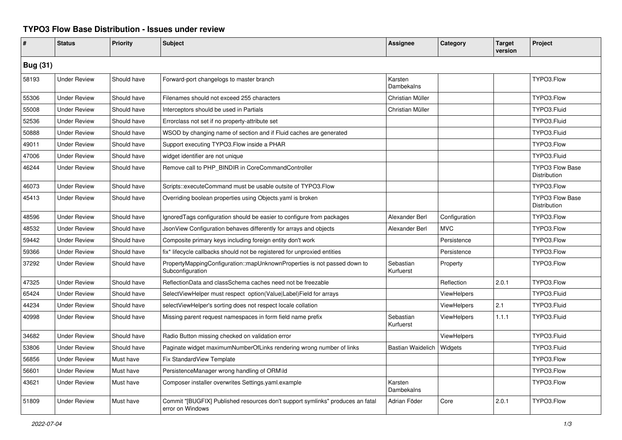## **TYPO3 Flow Base Distribution - Issues under review**

| #               | <b>Status</b>       | <b>Priority</b> | <b>Subject</b>                                                                                     | <b>Assignee</b>          | Category           | <b>Target</b><br>version | Project                                |
|-----------------|---------------------|-----------------|----------------------------------------------------------------------------------------------------|--------------------------|--------------------|--------------------------|----------------------------------------|
| <b>Bug (31)</b> |                     |                 |                                                                                                    |                          |                    |                          |                                        |
| 58193           | <b>Under Review</b> | Should have     | Forward-port changelogs to master branch                                                           | Karsten<br>Dambekalns    |                    |                          | TYPO3.Flow                             |
| 55306           | <b>Under Review</b> | Should have     | Filenames should not exceed 255 characters                                                         | Christian Müller         |                    |                          | TYPO3.Flow                             |
| 55008           | <b>Under Review</b> | Should have     | Interceptors should be used in Partials                                                            | Christian Müller         |                    |                          | TYPO3.Fluid                            |
| 52536           | <b>Under Review</b> | Should have     | Errorclass not set if no property-attribute set                                                    |                          |                    |                          | TYPO3.Fluid                            |
| 50888           | <b>Under Review</b> | Should have     | WSOD by changing name of section and if Fluid caches are generated                                 |                          |                    |                          | TYPO3.Fluid                            |
| 49011           | <b>Under Review</b> | Should have     | Support executing TYPO3. Flow inside a PHAR                                                        |                          |                    |                          | TYPO3.Flow                             |
| 47006           | <b>Under Review</b> | Should have     | widget identifier are not unique                                                                   |                          |                    |                          | TYPO3.Fluid                            |
| 46244           | <b>Under Review</b> | Should have     | Remove call to PHP_BINDIR in CoreCommandController                                                 |                          |                    |                          | <b>TYPO3 Flow Base</b><br>Distribution |
| 46073           | <b>Under Review</b> | Should have     | Scripts::executeCommand must be usable outsite of TYPO3.Flow                                       |                          |                    |                          | TYPO3.Flow                             |
| 45413           | <b>Under Review</b> | Should have     | Overriding boolean properties using Objects yaml is broken                                         |                          |                    |                          | <b>TYPO3 Flow Base</b><br>Distribution |
| 48596           | <b>Under Review</b> | Should have     | Ignored Tags configuration should be easier to configure from packages                             | Alexander Berl           | Configuration      |                          | TYPO3.Flow                             |
| 48532           | <b>Under Review</b> | Should have     | JsonView Configuration behaves differently for arrays and objects                                  | Alexander Berl           | <b>MVC</b>         |                          | TYPO3.Flow                             |
| 59442           | <b>Under Review</b> | Should have     | Composite primary keys including foreign entity don't work                                         |                          | Persistence        |                          | TYPO3.Flow                             |
| 59366           | <b>Under Review</b> | Should have     | fix* lifecycle callbacks should not be registered for unproxied entities                           |                          | Persistence        |                          | TYPO3.Flow                             |
| 37292           | <b>Under Review</b> | Should have     | PropertyMappingConfiguration::mapUnknownProperties is not passed down to<br>Subconfiguration       | Sebastian<br>Kurfuerst   | Property           |                          | TYPO3.Flow                             |
| 47325           | <b>Under Review</b> | Should have     | ReflectionData and classSchema caches need not be freezable                                        |                          | Reflection         | 2.0.1                    | TYPO3.Flow                             |
| 65424           | <b>Under Review</b> | Should have     | SelectViewHelper must respect option(Value Label)Field for arrays                                  |                          | <b>ViewHelpers</b> |                          | TYPO3.Fluid                            |
| 44234           | <b>Under Review</b> | Should have     | selectViewHelper's sorting does not respect locale collation                                       |                          | ViewHelpers        | 2.1                      | TYPO3.Fluid                            |
| 40998           | <b>Under Review</b> | Should have     | Missing parent request namespaces in form field name prefix                                        | Sebastian<br>Kurfuerst   | ViewHelpers        | 1.1.1                    | TYPO3.Fluid                            |
| 34682           | <b>Under Review</b> | Should have     | Radio Button missing checked on validation error                                                   |                          | ViewHelpers        |                          | TYPO3.Fluid                            |
| 53806           | <b>Under Review</b> | Should have     | Paginate widget maximumNumberOfLinks rendering wrong number of links                               | <b>Bastian Waidelich</b> | Widgets            |                          | TYPO3.Fluid                            |
| 56856           | <b>Under Review</b> | Must have       | <b>Fix StandardView Template</b>                                                                   |                          |                    |                          | TYPO3.Flow                             |
| 56601           | <b>Under Review</b> | Must have       | PersistenceManager wrong handling of ORM\ld                                                        |                          |                    |                          | TYPO3.Flow                             |
| 43621           | <b>Under Review</b> | Must have       | Composer installer overwrites Settings.yaml.example                                                | Karsten<br>Dambekalns    |                    |                          | TYPO3.Flow                             |
| 51809           | <b>Under Review</b> | Must have       | Commit "[BUGFIX] Published resources don't support symlinks" produces an fatal<br>error on Windows | Adrian Föder             | Core               | 2.0.1                    | TYPO3.Flow                             |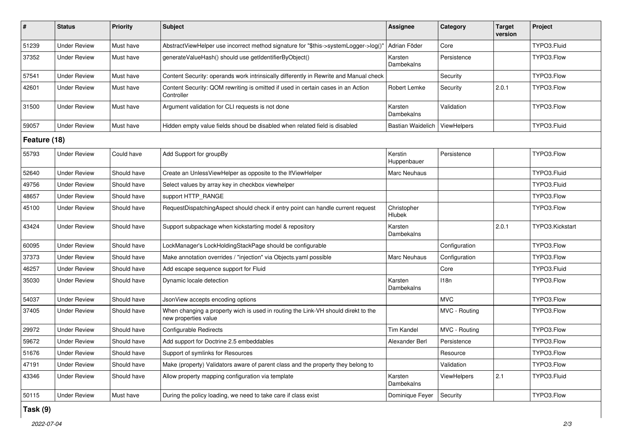| $\#$         | <b>Status</b>       | Priority    | <b>Subject</b>                                                                                            | <b>Assignee</b>          | Category           | <b>Target</b><br>version | Project         |  |
|--------------|---------------------|-------------|-----------------------------------------------------------------------------------------------------------|--------------------------|--------------------|--------------------------|-----------------|--|
| 51239        | <b>Under Review</b> | Must have   | AbstractViewHelper use incorrect method signature for "\$this->systemLogger->log()'                       | Adrian Föder             | Core               |                          | TYPO3.Fluid     |  |
| 37352        | <b>Under Review</b> | Must have   | generateValueHash() should use getIdentifierByObject()                                                    | Karsten<br>Dambekalns    | Persistence        |                          | TYPO3.Flow      |  |
| 57541        | <b>Under Review</b> | Must have   | Content Security: operands work intrinsically differently in Rewrite and Manual check                     |                          | Security           |                          | TYPO3.Flow      |  |
| 42601        | <b>Under Review</b> | Must have   | Content Security: QOM rewriting is omitted if used in certain cases in an Action<br>Controller            | Robert Lemke             | Security           | 2.0.1                    | TYPO3.Flow      |  |
| 31500        | <b>Under Review</b> | Must have   | Argument validation for CLI requests is not done                                                          | Karsten<br>Dambekalns    | Validation         |                          | TYPO3.Flow      |  |
| 59057        | <b>Under Review</b> | Must have   | Hidden empty value fields shoud be disabled when related field is disabled                                | <b>Bastian Waidelich</b> | ViewHelpers        |                          | TYPO3.Fluid     |  |
| Feature (18) |                     |             |                                                                                                           |                          |                    |                          |                 |  |
| 55793        | <b>Under Review</b> | Could have  | Add Support for groupBy                                                                                   | Kerstin<br>Huppenbauer   | Persistence        |                          | TYPO3.Flow      |  |
| 52640        | <b>Under Review</b> | Should have | Create an UnlessViewHelper as opposite to the IfViewHelper                                                | Marc Neuhaus             |                    |                          | TYPO3.Fluid     |  |
| 49756        | <b>Under Review</b> | Should have | Select values by array key in checkbox viewhelper                                                         |                          |                    |                          | TYPO3.Fluid     |  |
| 48657        | <b>Under Review</b> | Should have | support HTTP_RANGE                                                                                        |                          |                    |                          | TYPO3.Flow      |  |
| 45100        | <b>Under Review</b> | Should have | RequestDispatchingAspect should check if entry point can handle current request                           | Christopher<br>Hlubek    |                    |                          | TYPO3.Flow      |  |
| 43424        | <b>Under Review</b> | Should have | Support subpackage when kickstarting model & repository                                                   | Karsten<br>Dambekalns    |                    | 2.0.1                    | TYPO3.Kickstart |  |
| 60095        | <b>Under Review</b> | Should have | LockManager's LockHoldingStackPage should be configurable                                                 |                          | Configuration      |                          | TYPO3.Flow      |  |
| 37373        | <b>Under Review</b> | Should have | Make annotation overrides / "injection" via Objects yaml possible                                         | <b>Marc Neuhaus</b>      | Configuration      |                          | TYPO3.Flow      |  |
| 46257        | <b>Under Review</b> | Should have | Add escape sequence support for Fluid                                                                     |                          | Core               |                          | TYPO3.Fluid     |  |
| 35030        | <b>Under Review</b> | Should have | Dynamic locale detection                                                                                  | Karsten<br>Dambekalns    | 118n               |                          | TYPO3.Flow      |  |
| 54037        | <b>Under Review</b> | Should have | JsonView accepts encoding options                                                                         |                          | <b>MVC</b>         |                          | TYPO3.Flow      |  |
| 37405        | <b>Under Review</b> | Should have | When changing a property wich is used in routing the Link-VH should direkt to the<br>new properties value |                          | MVC - Routing      |                          | TYPO3.Flow      |  |
| 29972        | <b>Under Review</b> | Should have | Configurable Redirects                                                                                    | <b>Tim Kandel</b>        | MVC - Routing      |                          | TYPO3.Flow      |  |
| 59672        | <b>Under Review</b> | Should have | Add support for Doctrine 2.5 embeddables                                                                  | Alexander Berl           | Persistence        |                          | TYPO3.Flow      |  |
| 51676        | <b>Under Review</b> | Should have | Support of symlinks for Resources                                                                         |                          | Resource           |                          | TYPO3.Flow      |  |
| 47191        | <b>Under Review</b> | Should have | Make (property) Validators aware of parent class and the property they belong to                          |                          | Validation         |                          | TYPO3.Flow      |  |
| 43346        | <b>Under Review</b> | Should have | Allow property mapping configuration via template                                                         | Karsten<br>Dambekalns    | <b>ViewHelpers</b> | 2.1                      | TYPO3.Fluid     |  |
| 50115        | <b>Under Review</b> | Must have   | During the policy loading, we need to take care if class exist                                            | Dominique Feyer          | Security           |                          | TYPO3.Flow      |  |

## **Task (9)**